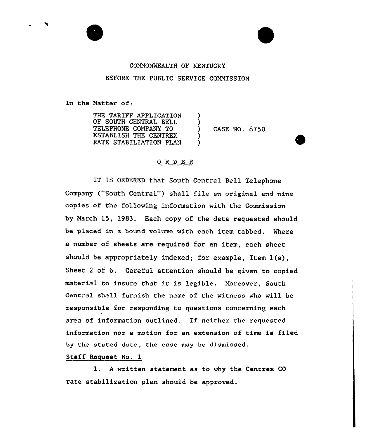## COMMONWEALTH OF KENTUCKY BEFORE THE PUBLIC SERVICE COMMISSION

In the Matter of:

THE TARIFF APPLICATION OF SOUTH CENTRAL BELL TELEPHONE COMPANY TO ESTABLISH THE CENTREX RATE STABILIATION PLAN ) ) ) CASE NO. 8750 ) )

## 0RDE <sup>R</sup>

IT IS ORDERED that South Central Bell Telephone Company ("South Central") shall file an original and nine copies of the following information with the Commission by March 15, 1983. Each copy of the data requested should be placed in a bound volume with each item tabbed. Where a number of sheets are required for an item, each sheet should be appropriately indexed; for example, Item 1(a}, Sheet <sup>2</sup> of 6. Careful attention should be given to copied material to insure that it is legible. Moreover, South Central shall furnish the name of the vitness who will be responsible for responding to questions concerning each area of information outlined. If neither the requested information nor a motion for an extension of time is filed by the stated date, the case may be dismissed.

## Staff Request No. 1

1. <sup>A</sup> written statement as to why the Centrex CO rate stabilization plan should be approved.